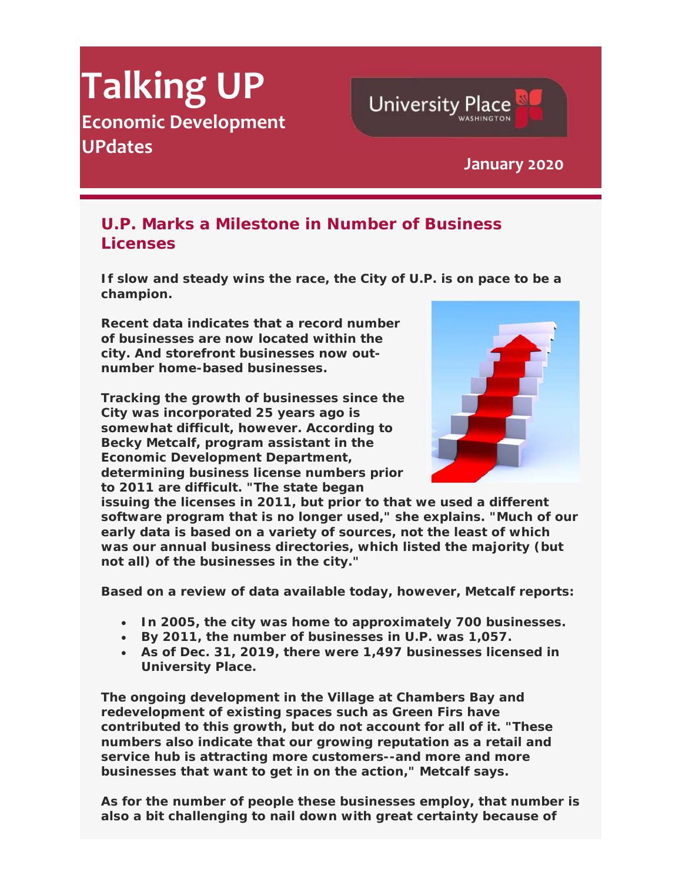# **Talking UP Economic Development UPdates January <sup>2020</sup>**

## **U.P. Marks a Milestone in Number of Business Licenses**

**If slow and steady wins the race, the City of U.P. is on pace to be a champion.**

**Recent data indicates that a record number of businesses are now located within the city. And storefront businesses now outnumber home-based businesses.**

**Tracking the growth of businesses since the City was incorporated 25 years ago is somewhat difficult, however. According to Becky Metcalf, program assistant in the Economic Development Department, determining business license numbers prior to 2011 are difficult. "The state began** 



**University Place** 

**issuing the licenses in 2011, but prior to that we used a different software program that is no longer used," she explains. "Much of our early data is based on a variety of sources, not the least of which was our annual business directories, which listed the majority (but not all) of the businesses in the city."**

**Based on a review of data available today, however, Metcalf reports:** 

- **In 2005, the city was home to approximately 700 businesses.**
- **By 2011, the number of businesses in U.P. was 1,057.**
- **As of Dec. 31, 2019, there were 1,497 businesses licensed in University Place.**

**The ongoing development in the Village at Chambers Bay and redevelopment of existing spaces such as Green Firs have contributed to this growth, but do not account for all of it. "These numbers also indicate that our growing reputation as a retail and service hub is attracting more customers--and more and more businesses that want to get in on the action," Metcalf says.** 

**As for the number of people these businesses employ, that number is also a bit challenging to nail down with great certainty because of**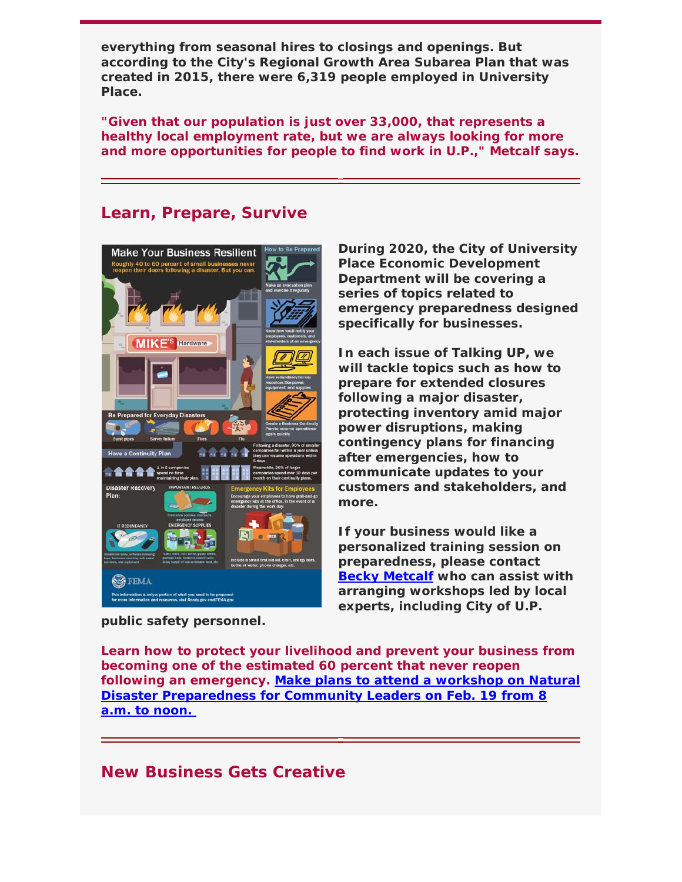**everything from seasonal hires to closings and openings. But according to the City's Regional Growth Area Subarea Plan that was created in 2015, there were 6,319 people employed in University Place.**

**"Given that our population is just over 33,000, that represents a healthy local employment rate, but we are always looking for more and more opportunities for people to find work in U.P.," Metcalf says.**

#### **Learn, Prepare, Survive**



**During 2020, the City of University Place Economic Development Department will be covering a series of topics related to emergency preparedness designed specifically for businesses.** 

**In each issue of** *Talking UP***, we will tackle topics such as how to prepare for extended closures following a major disaster, protecting inventory amid major power disruptions, making contingency plans for financing after emergencies, how to communicate updates to your customers and stakeholders, and more.** 

**If your business would like a personalized training session on preparedness, please contact Becky Metcalf who can assist with arranging workshops led by local experts, including City of U.P.** 

**public safety personnel.** 

**Learn how to protect your livelihood and prevent your business from becoming one of the estimated 60 percent that never reopen following an emergency. Make plans to attend a workshop on Natural Disaster Preparedness for Community Leaders on Feb. 19 from 8 a.m. to noon.** 

#### **New Business Gets Creative**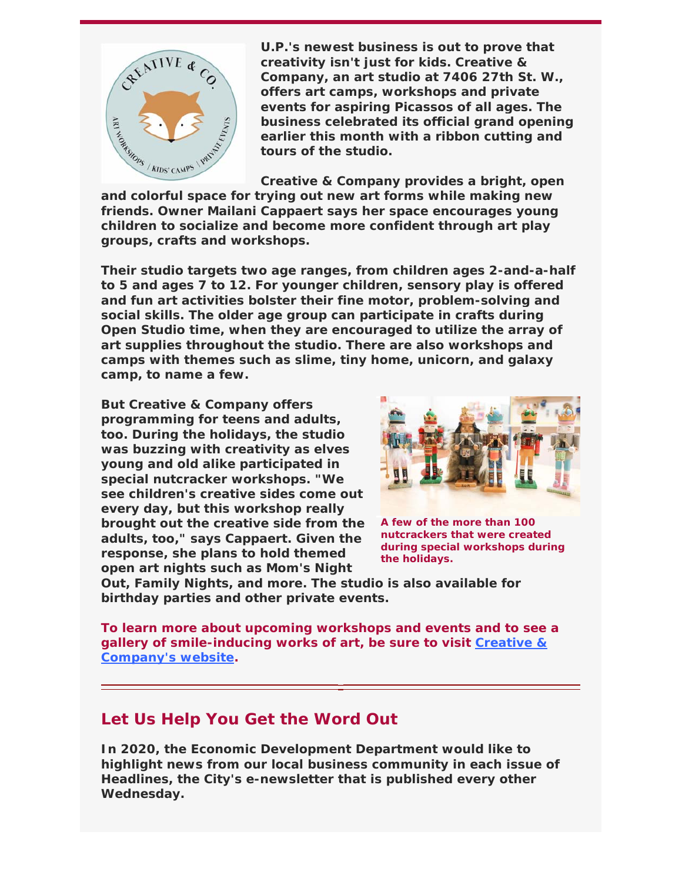

**U.P.'s newest business is out to prove that creativity isn't just for kids. Creative & Company, an art studio at 7406 27th St. W., offers art camps, workshops and private events for aspiring Picassos of all ages. The business celebrated its official grand opening earlier this month with a ribbon cutting and tours of the studio.** 

**Creative & Company provides a bright, open and colorful space for trying out new art forms while making new friends. Owner Mailani Cappaert says her space encourages young children to socialize and become more confident through art play groups, crafts and workshops.** 

**Their studio targets two age ranges, from children ages 2-and-a-half to 5 and ages 7 to 12. For younger children, sensory play is offered and fun art activities bolster their fine motor, problem-solving and social skills. The older age group can participate in crafts during Open Studio time, when they are encouraged to utilize the array of art supplies throughout the studio. There are also workshops and camps with themes such as slime, tiny home, unicorn, and galaxy camp, to name a few.** 

**But Creative & Company offers programming for teens and adults, too. During the holidays, the studio was buzzing with creativity as elves young and old alike participated in special nutcracker workshops. "We see children's creative sides come out every day, but this workshop really brought out the creative side from the adults, too," says Cappaert. Given the response, she plans to hold themed open art nights such as Mom's Night** 



**A few of the more than 100 nutcrackers that were created during special workshops during the holidays.**

**Out, Family Nights, and more. The studio is also available for birthday parties and other private events.** 

**To learn more about upcoming workshops and events and to see a gallery of smile-inducing works of art, be sure to visit Creative & Company's website.**

### **Let Us Help You Get the Word Out**

**In 2020, the Economic Development Department would like to highlight news from our local business community in each issue of**  *Headlines***, the City's e-newsletter that is published every other Wednesday.**